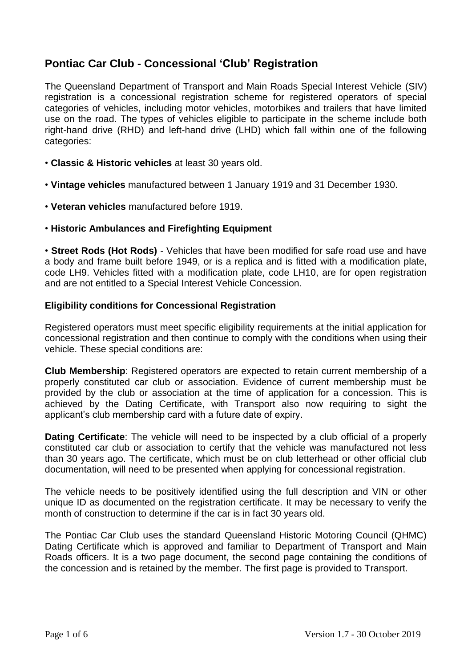# **Pontiac Car Club - Concessional 'Club' Registration**

The Queensland Department of Transport and Main Roads Special Interest Vehicle (SIV) registration is a concessional registration scheme for registered operators of special categories of vehicles, including motor vehicles, motorbikes and trailers that have limited use on the road. The types of vehicles eligible to participate in the scheme include both right-hand drive (RHD) and left-hand drive (LHD) which fall within one of the following categories:

- **Classic & Historic vehicles** at least 30 years old.
- **Vintage vehicles** manufactured between 1 January 1919 and 31 December 1930.
- **Veteran vehicles** manufactured before 1919.

#### • **Historic Ambulances and Firefighting Equipment**

• **Street Rods (Hot Rods)** - Vehicles that have been modified for safe road use and have a body and frame built before 1949, or is a replica and is fitted with a modification plate, code LH9. Vehicles fitted with a modification plate, code LH10, are for open registration and are not entitled to a Special Interest Vehicle Concession.

#### **Eligibility conditions for Concessional Registration**

Registered operators must meet specific eligibility requirements at the initial application for concessional registration and then continue to comply with the conditions when using their vehicle. These special conditions are:

**Club Membership**: Registered operators are expected to retain current membership of a properly constituted car club or association. Evidence of current membership must be provided by the club or association at the time of application for a concession. This is achieved by the Dating Certificate, with Transport also now requiring to sight the applicant's club membership card with a future date of expiry.

**Dating Certificate**: The vehicle will need to be inspected by a club official of a properly constituted car club or association to certify that the vehicle was manufactured not less than 30 years ago. The certificate, which must be on club letterhead or other official club documentation, will need to be presented when applying for concessional registration.

The vehicle needs to be positively identified using the full description and VIN or other unique ID as documented on the registration certificate. It may be necessary to verify the month of construction to determine if the car is in fact 30 years old.

The Pontiac Car Club uses the standard Queensland Historic Motoring Council (QHMC) Dating Certificate which is approved and familiar to Department of Transport and Main Roads officers. It is a two page document, the second page containing the conditions of the concession and is retained by the member. The first page is provided to Transport.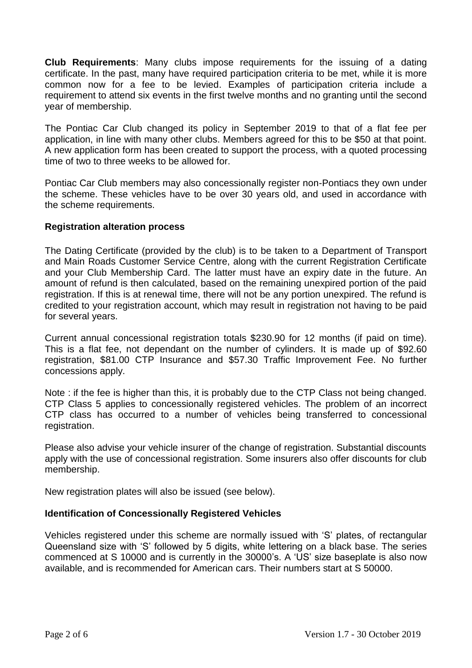**Club Requirements**: Many clubs impose requirements for the issuing of a dating certificate. In the past, many have required participation criteria to be met, while it is more common now for a fee to be levied. Examples of participation criteria include a requirement to attend six events in the first twelve months and no granting until the second year of membership.

The Pontiac Car Club changed its policy in September 2019 to that of a flat fee per application, in line with many other clubs. Members agreed for this to be \$50 at that point. A new application form has been created to support the process, with a quoted processing time of two to three weeks to be allowed for.

Pontiac Car Club members may also concessionally register non-Pontiacs they own under the scheme. These vehicles have to be over 30 years old, and used in accordance with the scheme requirements.

#### **Registration alteration process**

The Dating Certificate (provided by the club) is to be taken to a Department of Transport and Main Roads Customer Service Centre, along with the current Registration Certificate and your Club Membership Card. The latter must have an expiry date in the future. An amount of refund is then calculated, based on the remaining unexpired portion of the paid registration. If this is at renewal time, there will not be any portion unexpired. The refund is credited to your registration account, which may result in registration not having to be paid for several years.

Current annual concessional registration totals \$230.90 for 12 months (if paid on time). This is a flat fee, not dependant on the number of cylinders. It is made up of \$92.60 registration, \$81.00 CTP Insurance and \$57.30 Traffic Improvement Fee. No further concessions apply.

Note : if the fee is higher than this, it is probably due to the CTP Class not being changed. CTP Class 5 applies to concessionally registered vehicles. The problem of an incorrect CTP class has occurred to a number of vehicles being transferred to concessional registration.

Please also advise your vehicle insurer of the change of registration. Substantial discounts apply with the use of concessional registration. Some insurers also offer discounts for club membership.

New registration plates will also be issued (see below).

# **Identification of Concessionally Registered Vehicles**

Vehicles registered under this scheme are normally issued with 'S' plates, of rectangular Queensland size with 'S' followed by 5 digits, white lettering on a black base. The series commenced at S 10000 and is currently in the 30000's. A 'US' size baseplate is also now available, and is recommended for American cars. Their numbers start at S 50000.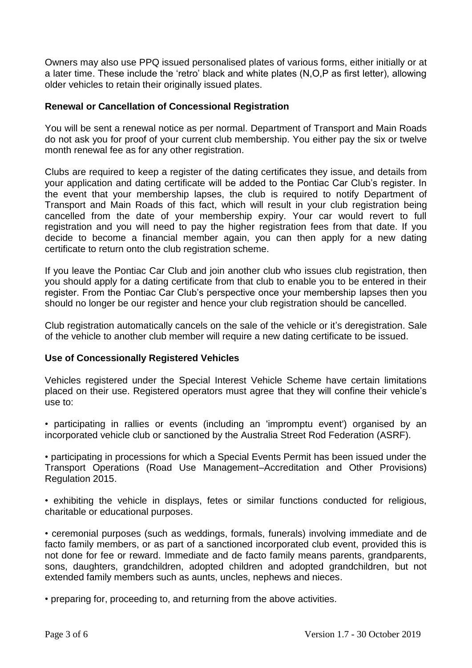Owners may also use PPQ issued personalised plates of various forms, either initially or at a later time. These include the 'retro' black and white plates (N,O,P as first letter), allowing older vehicles to retain their originally issued plates.

#### **Renewal or Cancellation of Concessional Registration**

You will be sent a renewal notice as per normal. Department of Transport and Main Roads do not ask you for proof of your current club membership. You either pay the six or twelve month renewal fee as for any other registration.

Clubs are required to keep a register of the dating certificates they issue, and details from your application and dating certificate will be added to the Pontiac Car Club's register. In the event that your membership lapses, the club is required to notify Department of Transport and Main Roads of this fact, which will result in your club registration being cancelled from the date of your membership expiry. Your car would revert to full registration and you will need to pay the higher registration fees from that date. If you decide to become a financial member again, you can then apply for a new dating certificate to return onto the club registration scheme.

If you leave the Pontiac Car Club and join another club who issues club registration, then you should apply for a dating certificate from that club to enable you to be entered in their register. From the Pontiac Car Club's perspective once your membership lapses then you should no longer be our register and hence your club registration should be cancelled.

Club registration automatically cancels on the sale of the vehicle or it's deregistration. Sale of the vehicle to another club member will require a new dating certificate to be issued.

#### **Use of Concessionally Registered Vehicles**

Vehicles registered under the Special Interest Vehicle Scheme have certain limitations placed on their use. Registered operators must agree that they will confine their vehicle's use to:

• participating in rallies or events (including an 'impromptu event') organised by an incorporated vehicle club or sanctioned by the Australia Street Rod Federation (ASRF).

• participating in processions for which a Special Events Permit has been issued under the Transport Operations (Road Use Management–Accreditation and Other Provisions) Regulation 2015.

• exhibiting the vehicle in displays, fetes or similar functions conducted for religious, charitable or educational purposes.

• ceremonial purposes (such as weddings, formals, funerals) involving immediate and de facto family members, or as part of a sanctioned incorporated club event, provided this is not done for fee or reward. Immediate and de facto family means parents, grandparents, sons, daughters, grandchildren, adopted children and adopted grandchildren, but not extended family members such as aunts, uncles, nephews and nieces.

• preparing for, proceeding to, and returning from the above activities.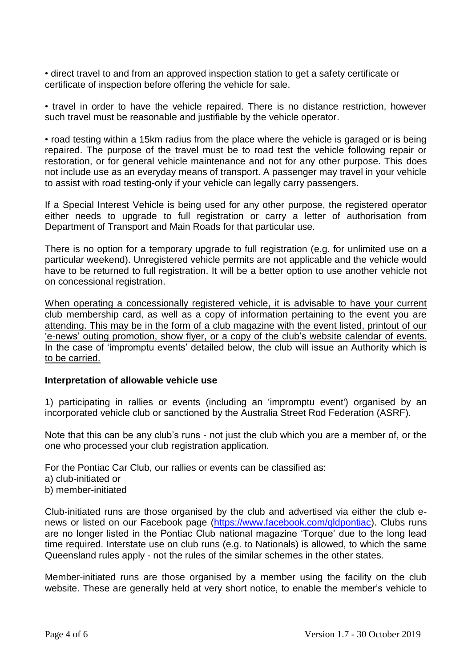• direct travel to and from an approved inspection station to get a safety certificate or certificate of inspection before offering the vehicle for sale.

• travel in order to have the vehicle repaired. There is no distance restriction, however such travel must be reasonable and justifiable by the vehicle operator.

• road testing within a 15km radius from the place where the vehicle is garaged or is being repaired. The purpose of the travel must be to road test the vehicle following repair or restoration, or for general vehicle maintenance and not for any other purpose. This does not include use as an everyday means of transport. A passenger may travel in your vehicle to assist with road testing-only if your vehicle can legally carry passengers.

If a Special Interest Vehicle is being used for any other purpose, the registered operator either needs to upgrade to full registration or carry a letter of authorisation from Department of Transport and Main Roads for that particular use.

There is no option for a temporary upgrade to full registration (e.g. for unlimited use on a particular weekend). Unregistered vehicle permits are not applicable and the vehicle would have to be returned to full registration. It will be a better option to use another vehicle not on concessional registration.

When operating a concessionally registered vehicle, it is advisable to have your current club membership card, as well as a copy of information pertaining to the event you are attending. This may be in the form of a club magazine with the event listed, printout of our 'e-news' outing promotion, show flyer, or a copy of the club's website calendar of events. In the case of 'impromptu events' detailed below, the club will issue an Authority which is to be carried.

#### **Interpretation of allowable vehicle use**

1) participating in rallies or events (including an 'impromptu event') organised by an incorporated vehicle club or sanctioned by the Australia Street Rod Federation (ASRF).

Note that this can be any club's runs - not just the club which you are a member of, or the one who processed your club registration application.

For the Pontiac Car Club, our rallies or events can be classified as:

- a) club-initiated or
- b) member-initiated

Club-initiated runs are those organised by the club and advertised via either the club enews or listed on our Facebook page [\(https://www.facebook.com/qldpontiac\)](https://www.facebook.com/qldpontiac). Clubs runs are no longer listed in the Pontiac Club national magazine 'Torque' due to the long lead time required. Interstate use on club runs (e.g. to Nationals) is allowed, to which the same Queensland rules apply - not the rules of the similar schemes in the other states.

Member-initiated runs are those organised by a member using the facility on the club website. These are generally held at very short notice, to enable the member's vehicle to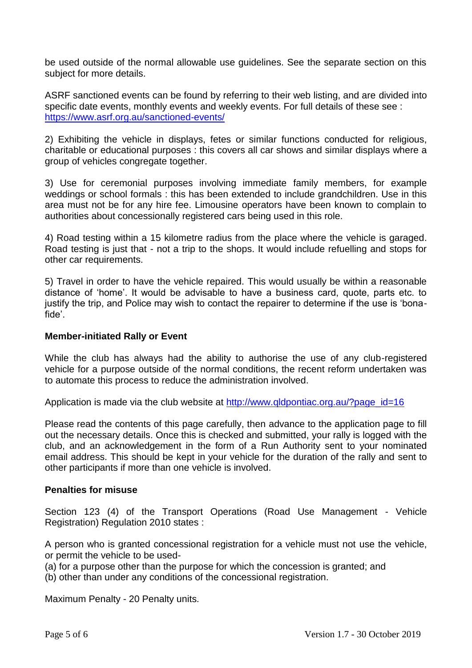be used outside of the normal allowable use guidelines. See the separate section on this subject for more details.

ASRF sanctioned events can be found by referring to their web listing, and are divided into specific date events, monthly events and weekly events. For full details of these see : <https://www.asrf.org.au/sanctioned-events/>

2) Exhibiting the vehicle in displays, fetes or similar functions conducted for religious, charitable or educational purposes : this covers all car shows and similar displays where a group of vehicles congregate together.

3) Use for ceremonial purposes involving immediate family members, for example weddings or school formals : this has been extended to include grandchildren. Use in this area must not be for any hire fee. Limousine operators have been known to complain to authorities about concessionally registered cars being used in this role.

4) Road testing within a 15 kilometre radius from the place where the vehicle is garaged. Road testing is just that - not a trip to the shops. It would include refuelling and stops for other car requirements.

5) Travel in order to have the vehicle repaired. This would usually be within a reasonable distance of 'home'. It would be advisable to have a business card, quote, parts etc. to justify the trip, and Police may wish to contact the repairer to determine if the use is 'bonafide'.

#### **Member-initiated Rally or Event**

While the club has always had the ability to authorise the use of any club-registered vehicle for a purpose outside of the normal conditions, the recent reform undertaken was to automate this process to reduce the administration involved.

Application is made via the club website at http://www.gldpontiac.org.au/?page\_id=16

Please read the contents of this page carefully, then advance to the application page to fill out the necessary details. Once this is checked and submitted, your rally is logged with the club, and an acknowledgement in the form of a Run Authority sent to your nominated email address. This should be kept in your vehicle for the duration of the rally and sent to other participants if more than one vehicle is involved.

#### **Penalties for misuse**

Section 123 (4) of the Transport Operations (Road Use Management - Vehicle Registration) Regulation 2010 states :

A person who is granted concessional registration for a vehicle must not use the vehicle, or permit the vehicle to be used-

(a) for a purpose other than the purpose for which the concession is granted; and

(b) other than under any conditions of the concessional registration.

Maximum Penalty - 20 Penalty units.